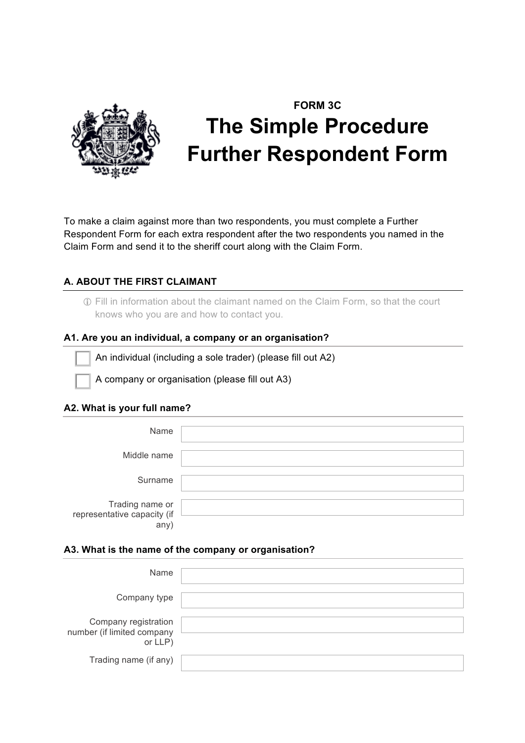

# **FORM 3C The Simple Procedure Further Respondent Form**

To make a claim against more than two respondents, you must complete a Further Respondent Form for each extra respondent after the two respondents you named in the Claim Form and send it to the sheriff court along with the Claim Form.

## **A. ABOUT THE FIRST CLAIMANT**

! Fill in information about the claimant named on the Claim Form, so that the court knows who you are and how to contact you.

## **A1. Are you an individual, a company or an organisation?**

An individual (including a sole trader) (please fill out A2)

A company or organisation (please fill out A3)

#### **A2. What is your full name?**

| Name                                                   |  |
|--------------------------------------------------------|--|
| Middle name                                            |  |
| Surname                                                |  |
| Trading name or<br>representative capacity (if<br>any) |  |

## **A3. What is the name of the company or organisation?**

| Name                                                          |  |
|---------------------------------------------------------------|--|
| Company type                                                  |  |
| Company registration<br>number (if limited company<br>or LLP) |  |
| Trading name (if any)                                         |  |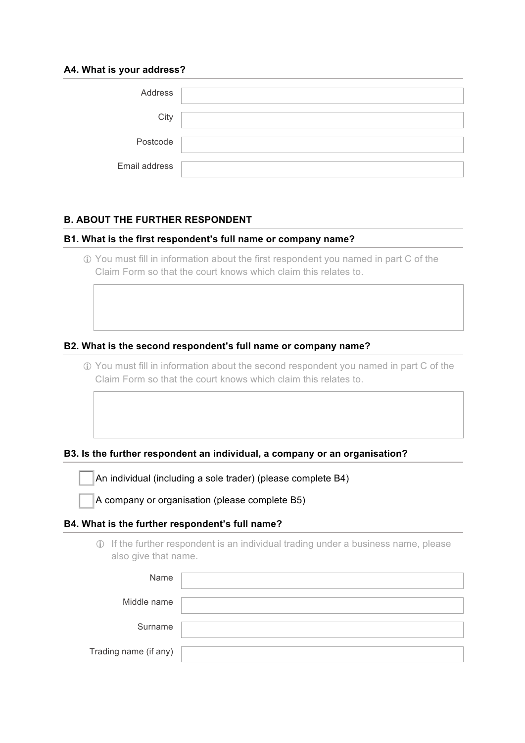#### **A4. What is your address?**

| Address       |  |
|---------------|--|
| City          |  |
| Postcode      |  |
| Email address |  |

## **B. ABOUT THE FURTHER RESPONDENT**

#### **B1. What is the first respondent's full name or company name?**

! You must fill in information about the first respondent you named in part C of the Claim Form so that the court knows which claim this relates to.

#### **B2. What is the second respondent's full name or company name?**

! You must fill in information about the second respondent you named in part C of the Claim Form so that the court knows which claim this relates to.

#### **B3. Is the further respondent an individual, a company or an organisation?**

An individual (including a sole trader) (please complete B4)

A company or organisation (please complete B5)

#### **B4. What is the further respondent's full name?**

! If the further respondent is an individual trading under a business name, please also give that name.

| Name                  |  |
|-----------------------|--|
| Middle name           |  |
| Surname               |  |
| Trading name (if any) |  |